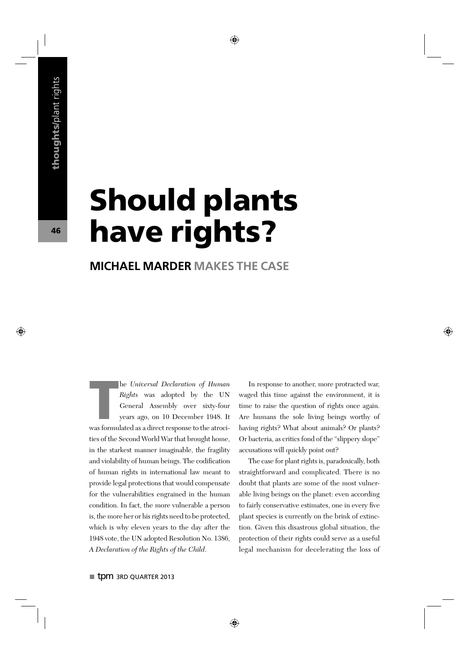## Should plants have rights?

## **MICHAEL MARDER MAKES THE CASE**

he Universal Declaration of Human<br>Rights was adopted by the UN<br>General Assembly over sixty-four<br>years ago, on 10 December 1948. It<br>was formulated as a direct response to the atrocihe Universal Declaration of Human Rights was adopted by the UN General Assembly over sixty-four years ago, on 10 December 1948. It ties of the Second World War that brought home, in the starkest manner imaginable, the fragility and violability of human beings. The codification of human rights in international law meant to provide legal protections that would compensate for the vulnerabilities engrained in the human condition. In fact, the more vulnerable a person is, the more her or his rights need to be protected, which is why eleven years to the day after the 1948 vote, the UN adopted Resolution No. 1386, A Declaration of the Rights of the Child.

In response to another, more protracted war, waged this time against the environment, it is time to raise the question of rights once again. Are humans the sole living beings worthy of having rights? What about animals? Or plants? Or bacteria, as critics fond of the "slippery slope" accusations will quickly point out?

The case for plant rights is, paradoxically, both straightforward and complicated. There is no doubt that plants are some of the most vulnerable living beings on the planet: even according to fairly conservative estimates, one in every five plant species is currently on the brink of extinction. Given this disastrous global situation, the protection of their rights could serve as a useful legal mechanism for decelerating the loss of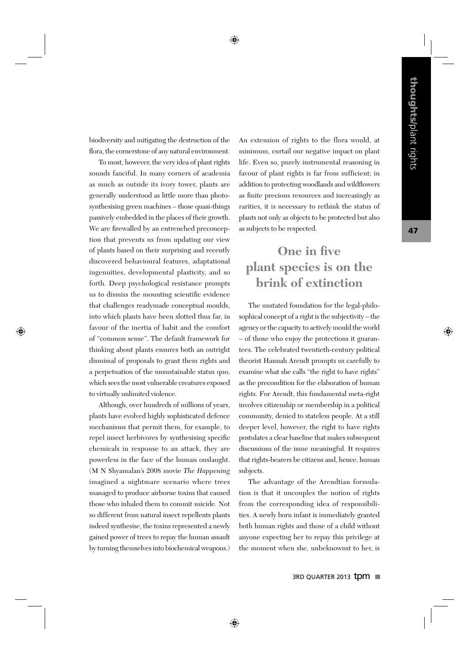47

biodiversity and mitigating the destruction of the flora, the cornerstone of any natural environment.

To most, however, the very idea of plant rights sounds fanciful. In many corners of academia as much as outside its ivory tower, plants are generally understood as little more than photosynthesising green machines – those quasi-things passively embedded in the places of their growth. We are firewalled by an entrenched preconception that prevents us from updating our view of plants based on their surprising and recently discovered behavioural features, adaptational ingenuities, developmental plasticity, and so forth. Deep psychological resistance prompts us to dismiss the mounting scientific evidence that challenges readymade conceptual moulds, into which plants have been slotted thus far, in favour of the inertia of habit and the comfort of "common sense". The default framework for thinking about plants ensures both an outright dismissal of proposals to grant them rights and a perpetuation of the unsustainable status quo, which sees the most vulnerable creatures exposed to virtually unlimited violence.

Although, over hundreds of millions of years, plants have evolved highly sophisticated defence mechanisms that permit them, for example, to repel insect herbivores by synthesising specific chemicals in response to an attack, they are powerless in the face of the human onslaught. (M N Shyamalan's 2008 movie The Happening imagined a nightmare scenario where trees managed to produce airborne toxins that caused those who inhaled them to commit suicide. Not so different from natural insect repellents plants indeed synthesise, the toxins represented a newly gained power of trees to repay the human assault by turning themselves into biochemical weapons.)

An extension of rights to the flora would, at minimum, curtail our negative impact on plant life. Even so, purely instrumental reasoning in favour of plant rights is far from sufficient; in addition to protecting woodlands and wildflowers as finite precious resources and increasingly as rarities, it is necessary to rethink the status of plants not only as objects to be protected but also as subjects to be respected.

## **One in five plant species is on the brink of extinction**

The unstated foundation for the legal-philosophical concept of a right is the subjectivity – the agency or the capacity to actively mould the world – of those who enjoy the protections it guarantees. The celebrated twentieth-century political theorist Hannah Arendt prompts us carefully to examine what she calls "the right to have rights" as the precondition for the elaboration of human rights. For Arendt, this fundamental meta-right involves citizenship or membership in a political community, denied to stateless people. At a still deeper level, however, the right to have rights postulates a clear baseline that makes subsequent discussions of the issue meaningful. It requires that rights-bearers be citizens and, hence, human subjects.

The advantage of the Arendtian formulation is that it uncouples the notion of rights from the corresponding idea of responsibilities. A newly born infant is immediately granted both human rights and those of a child without anyone expecting her to repay this privilege at the moment when she, unbeknownst to her, is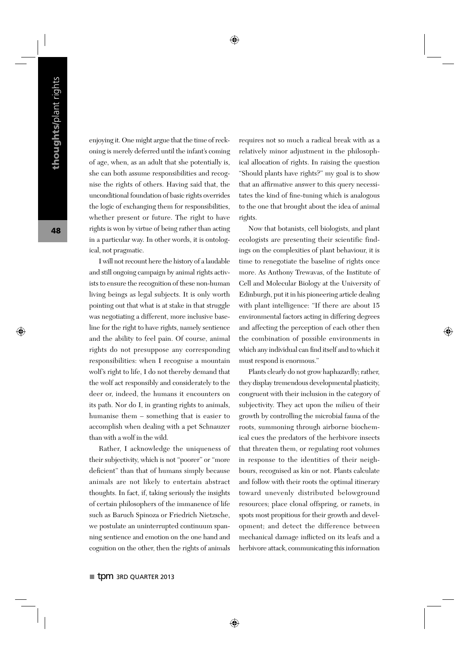enjoying it. One might argue that the time of reckoning is merely deferred until the infant's coming of age, when, as an adult that she potentially is, she can both assume responsibilities and recognise the rights of others. Having said that, the unconditional foundation of basic rights overrides the logic of exchanging them for responsibilities, whether present or future. The right to have rights is won by virtue of being rather than acting in a particular way. In other words, it is ontological, not pragmatic.

I will not recount here the history of a laudable and still ongoing campaign by animal rights activists to ensure the recognition of these non-human living beings as legal subjects. It is only worth pointing out that what is at stake in that struggle was negotiating a different, more inclusive baseline for the right to have rights, namely sentience and the ability to feel pain. Of course, animal rights do not presuppose any corresponding responsibilities: when I recognise a mountain wolf's right to life, I do not thereby demand that the wolf act responsibly and considerately to the deer or, indeed, the humans it encounters on its path. Nor do I, in granting rights to animals, humanise them – something that is easier to accomplish when dealing with a pet Schnauzer than with a wolf in the wild.

Rather, I acknowledge the uniqueness of their subjectivity, which is not "poorer" or "more deficient" than that of humans simply because animals are not likely to entertain abstract thoughts. In fact, if, taking seriously the insights of certain philosophers of the immanence of life such as Baruch Spinoza or Friedrich Nietzsche, we postulate an uninterrupted continuum spanning sentience and emotion on the one hand and cognition on the other, then the rights of animals requires not so much a radical break with as a relatively minor adjustment in the philosophical allocation of rights. In raising the question "Should plants have rights?" my goal is to show that an affirmative answer to this query necessitates the kind of fine-tuning which is analogous to the one that brought about the idea of animal rights.

Now that botanists, cell biologists, and plant ecologists are presenting their scientific findings on the complexities of plant behaviour, it is time to renegotiate the baseline of rights once more. As Anthony Trewavas, of the Institute of Cell and Molecular Biology at the University of Edinburgh, put it in his pioneering article dealing with plant intelligence: "If there are about 15 environmental factors acting in differing degrees and affecting the perception of each other then the combination of possible environments in which any individual can find itself and to which it must respond is enormous."

Plants clearly do not grow haphazardly; rather, they display tremendous developmental plasticity, congruent with their inclusion in the category of subjectivity. They act upon the milieu of their growth by controlling the microbial fauna of the roots, summoning through airborne biochemical cues the predators of the herbivore insects that threaten them, or regulating root volumes in response to the identities of their neighbours, recognised as kin or not. Plants calculate and follow with their roots the optimal itinerary toward unevenly distributed belowground resources; place clonal offspring, or ramets, in spots most propitious for their growth and development; and detect the difference between mechanical damage inflicted on its leafs and a herbivore attack, communicating this information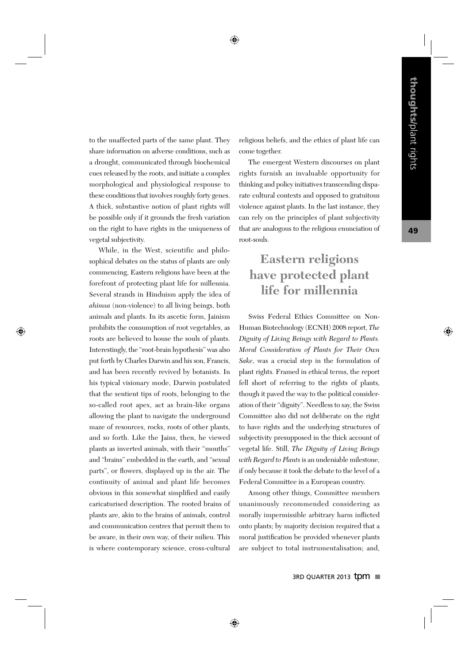to the unaffected parts of the same plant. They share information on adverse conditions, such as a drought, communicated through biochemical cues released by the roots, and initiate a complex morphological and physiological response to these conditions that involves roughly forty genes. A thick, substantive notion of plant rights will be possible only if it grounds the fresh variation on the right to have rights in the uniqueness of vegetal subjectivity.

While, in the West, scientific and philosophical debates on the status of plants are only commencing, Eastern religions have been at the forefront of protecting plant life for millennia. Several strands in Hinduism apply the idea of ahimsa (non-violence) to all living beings, both animals and plants. In its ascetic form, Jainism prohibits the consumption of root vegetables, as roots are believed to house the souls of plants. Interestingly, the "root-brain hypothesis" was also put forth by Charles Darwin and his son, Francis, and has been recently revived by botanists. In his typical visionary mode, Darwin postulated that the sentient tips of roots, belonging to the so-called root apex, act as brain-like organs allowing the plant to navigate the underground maze of resources, rocks, roots of other plants, and so forth. Like the Jains, then, he viewed plants as inverted animals, with their "mouths" and "brains" embedded in the earth, and "sexual parts", or flowers, displayed up in the air. The continuity of animal and plant life becomes obvious in this somewhat simplified and easily caricaturised description. The rooted brains of plants are, akin to the brains of animals, control and communication centres that permit them to be aware, in their own way, of their milieu. This is where contemporary science, cross-cultural religious beliefs, and the ethics of plant life can come together.

The emergent Western discourses on plant rights furnish an invaluable opportunity for thinking and policy initiatives transcending disparate cultural contexts and opposed to gratuitous violence against plants. In the last instance, they can rely on the principles of plant subjectivity that are analogous to the religious enunciation of root-souls.

## **Eastern religions have protected plant life for millennia**

Swiss Federal Ethics Committee on Non-Human Biotechnology (ECNH) 2008 report, The Dignity of Living Beings with Regard to Plants. Moral Consideration of Plants for Their Own Sake, was a crucial step in the formulation of plant rights. Framed in ethical terms, the report fell short of referring to the rights of plants, though it paved the way to the political consideration of their "dignity". Needless to say, the Swiss Committee also did not deliberate on the right to have rights and the underlying structures of subjectivity presupposed in the thick account of vegetal life. Still, The Dignity of Living Beings with Regard to Plants is an undeniable milestone, if only because it took the debate to the level of a Federal Committee in a European country.

Among other things, Committee members unanimously recommended considering as morally impermissible arbitrary harm inflicted onto plants; by majority decision required that a moral justification be provided whenever plants are subject to total instrumentalisation; and,